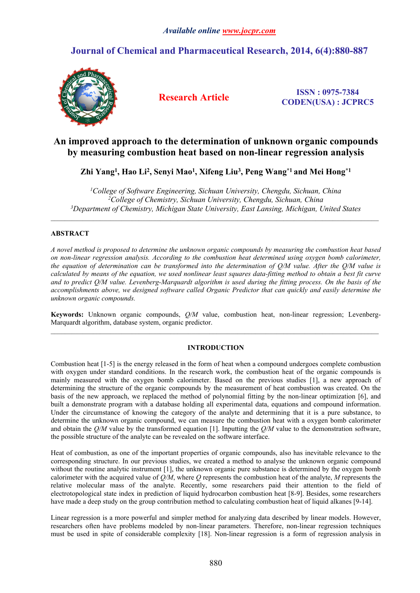## *Available online [www.jocpr.com](http://www.jocpr.com/)*

## **Journal of Chemical and Pharmaceutical Research, 2014, 6(4):880-887**



**Research Article ISSN : 0975-7384 CODEN(USA) : JCPRC5**

# **An improved approach to the determination of unknown organic compounds by measuring combustion heat based on non-linear regression analysis**

Zhi Yang<sup>1</sup>, Hao Li<sup>2</sup>, Senyi Mao<sup>1</sup>, Xifeng Liu<sup>3</sup>, Peng Wang\*1 and Mei Hong\*1

*<sup>1</sup>College of Software Engineering, Sichuan University, Chengdu, Sichuan, China <sup>2</sup>College of Chemistry, Sichuan University, Chengdu, Sichuan, China <sup>3</sup>Department of Chemistry, Michigan State University, East Lansing, Michigan, United States*

## **ABSTRACT**

A novel method is proposed to determine the unknown organic compounds by measuring the combustion heat based *on non-linear regression analysis. According to the combustion heat determined using oxygen bomb calorimeter,* the equation of determination can be transformed into the determination of  $Q/M$  value. After the  $Q/M$  value is calculated by means of the equation, we used nonlinear least squares data-fitting method to obtain a best fit curve and to predict O/M value. Levenberg-Marquardt algorithm is used during the fitting process. On the basis of the *accomplishments above, we designed software called Organic Predictor that can quickly and easily determine the unknown organic compounds.*

**Keywords:** Unknown organic compounds, *Q/M* value, combustion heat, non-linear regression; Levenberg-Marquardt algorithm, database system, organic predictor.  $\_$  , and the set of the set of the set of the set of the set of the set of the set of the set of the set of the set of the set of the set of the set of the set of the set of the set of the set of the set of the set of th

## **INTRODUCTION**

Combustion heat [1-5] is the energy released in the form of heat when a compound undergoes complete combustion with oxygen under standard conditions. In the research work, the combustion heat of the organic compounds is mainly measured with the oxygen bomb calorimeter. Based on the previous studies [1], a new approach of determining the structure of the organic compounds by the measurement of heat combustion was created. On the basis of the new approach, we replaced the method of polynomial fitting by the non-linear optimization [6], and built a demonstrate program with a database holding all experimental data, equations and compound information. Under the circumstance of knowing the category of the analyte and determining that it is a pure substance, to determine the unknown organic compound, we can measure the combustion heat with a oxygen bomb calorimeter and obtain the *Q/M* value by the transformed equation [1]. Inputting the *Q/M* value to the demonstration software, the possible structure of the analyte can be revealed on the software interface.

Heat of combustion, as one of the important properties of organic compounds, also has inevitable relevance to the corresponding structure. In our previous studies, we created a method to analyse the unknown organic compound without the routine analytic instrument [1], the unknown organic pure substance is determined by the oxygen bomb calorimeter with the acquired value of *Q/M*, where *Q* represents the combustion heat of the analyte, *M* represents the relative molecular mass of the analyte. Recently, some researchers paid their attention to the field of electrotopological state index in prediction of liquid hydrocarbon combustion heat [8-9]. Besides, some researchers have made a deep study on the group contribution method to calculating combustion heat of liquid alkanes [9-14].

Linear regression is a more powerful and simpler method for analyzing data described by linear models. However, researchers often have problems modeled by non-linear parameters. Therefore, non-linear regression techniques must be used in spite of considerable complexity [18]. Non-linear regression is a form of regression analysis in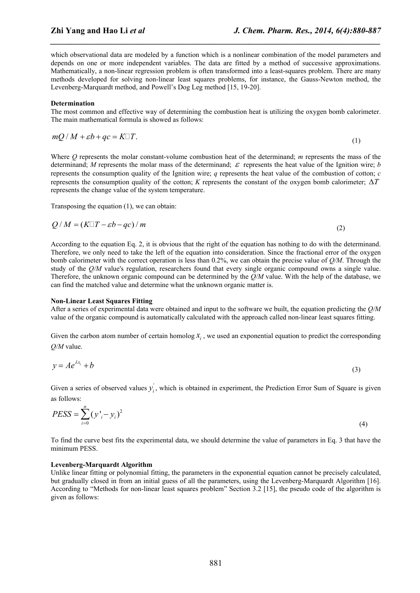(1)

which observational data are modeled by a function which is a nonlinear combination of the model parameters and depends on one or more independent variables. The data are fitted by a method of successive approximations. Mathematically, a non-linear regression problem is often transformed into a least-squares problem. There are many methods developed for solving non-linear least squares problems, for instance, the Gauss-Newton method, the Levenberg-Marquardt method, and Powell's Dog Leg method [15, 19-20].

*\_\_\_\_\_\_\_\_\_\_\_\_\_\_\_\_\_\_\_\_\_\_\_\_\_\_\_\_\_\_\_\_\_\_\_\_\_\_\_\_\_\_\_\_\_\_\_\_\_\_\_\_\_\_\_\_\_\_\_\_\_\_\_\_\_\_\_\_\_\_\_\_\_\_\_\_\_\_*

#### **Determination**

The most common and effective way of determining the combustion heat is utilizing the oxygen bomb calorimeter. The main mathematical formula is showed as follows:

$$
mQ/M + \varepsilon b + qc = K\Box T.
$$

Where *Q* represents the molar constant-volume combustion heat of the determinand; *m* represents the mass of the determinand; *M* represents the molar mass of the determinand;  $\varepsilon$  represents the heat value of the Ignition wire; *b* represents the consumption quality of the Ignition wire; *q* represents the heat value of the combustion of cotton; *c* represents the consumption quality of the cotton;  $K$  represents the constant of the oxygen bomb calorimeter;  $\Delta T$ represents the change value of the system temperature.

Transposing the equation (1), we can obtain:

$$
Q/M = (K \Box T - \varepsilon b - qc) / m \tag{2}
$$

According to the equation Eq. 2, it is obvious that the right of the equation has nothing to do with the determinand. Therefore, we only need to take the left of the equation into consideration. Since the fractional error of the oxygen bomb calorimeter with the correct operation is less than 0.2%, we can obtain the precise value of *Q/M*. Through the study of the *Q/M* value's regulation, researchers found that every single organic compound owns a single value. Therefore, the unknown organic compound can be determined by the *Q/M* value. With the help of the database, we can find the matched value and determine what the unknown organic matter is.

#### **Non-Linear Least Squares Fitting**

After a series of experimental data were obtained and input to the software we built, the equation predicting the *Q/M* value of the organic compound is automatically calculated with the approach called non-linear least squares fitting.

Given the carbon atom number of certain homolog  $x_i$ , we used an exponential equation to predict the corresponding *Q/M* value.

$$
y = Ae^{\lambda x_i} + b \tag{3}
$$

Given a series of observed values  $y<sub>i</sub>$ , which is obtained in experiment, the Prediction Error Sum of Square is given as follows:

$$
PESS = \sum_{i=0}^{n} (y'_i - y_i)^2
$$
 (4)

To find the curve best fits the experimental data, we should determine the value of parameters in Eq. 3 that have the minimum PESS.

#### **Levenberg-Marquardt Algorithm**

Unlike linear fitting or polynomial fitting, the parameters in the exponential equation cannot be precisely calculated, but gradually closed in from an initial guess of all the parameters, using the Levenberg-Marquardt Algorithm [16]. According to "Methods for non-linear least squares problem" Section 3.2 [15], the pseudo code of the algorithm is given as follows: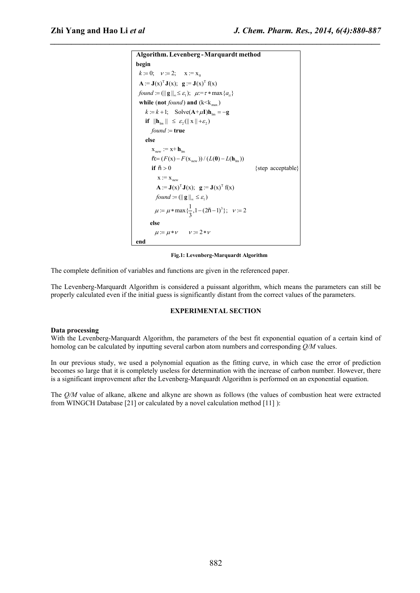```
0 A := J(x)^T J(x); g := J(x)^T f(x)k := 0; v := 2; x := x_0<br>
A := J(x)<sup>T</sup>J(x); g := J(x)<sup>T</sup>f(x)<br>
found := (|| g ||<sub>x</sub> ≤ \varepsilon_1); \mu:= \tau * max{a_{ii}}
                                max \ellk := 0; \quad v := 2; \quad x := x_0while (not found) and (k \leq k_{max})k = k + 1; Solve(A + \mu I)h<sub>lm</sub> = -g
 found := (\| \mathbf{g} \|_{\infty} \leq \varepsilon_1); \quad \mu = \tau * \max \{a_{ii}\}<br>
while (not found) and (k<k<sub>max</sub>)
   g = 0; v := 2; x := x<sub>0</sub><br>
g := J(x)<sup>T</sup> J(x); g := J(x)<sup>T</sup> f(x)<br>
und := (|| g ||<sub>∞</sub> ≤ ε<sub>1</sub>); μ:= τ * max {a<sub>ii</sub>}</sub>
begin Algorithm.Levenberg -Marquardt method
    if \|\mathbf{h}_{lm}\| \leq \varepsilon_2(\|\mathbf{x}\| + \varepsilon_2)x_{\text{new}} := x + h_{\text{lm}}\tilde{n} = (F(x) - F(x_{new})) / (L(0) - L(h_{lm}))found := true\tilde{n} > 0 {step acceptable}
               + \mathbf{h}_{\text{lm}}F F_{new} \coloneqq x + h_{lm}<br>= (F(x) - F(x_{new})) / (L(0) - L(h_{lm}))=-\mathbf{g}Solve(\mathbf{A}^+ \mu \mathbf{I})\mathbf{h}_{lm} = -\mathbf{g}<br>
\leq \varepsilon_2(||\mathbf{x}|| + \varepsilon_2)<br>
= \mathbf{true}true
    else h_{lm}if \tilde{n} > 0new
           \mathbf{y} = \mathbf{J}(\mathbf{x})^{\mathrm{T}} \mathbf{J}(\mathbf{x}); \quad \mathbf{g} := \mathbf{J}(\mathbf{x})^{\mathrm{T}} \mathbf{f}(\mathbf{x})1\mathbf{x} := \mathbf{x}_{\text{new}}<br>
\mathbf{A} := \mathbf{J}(\mathbf{x})^{\text{T}} \mathbf{J}(\mathbf{x}); \quad \mathbf{g} := \mathbf{J}(\mathbf{x})^{\text{T}} \mathbf{f}(\mathbf{x})<br>
found := (\|\mathbf{g}\|_{\infty} \leq \varepsilon_1)<br>
\mathbf{a} := \mathbf{a} \cdot \mathbf{x} \cdot \mathbf{m} \cdot \mathbf{a} \cdot (\mathbf{a} - \mathbf{a} \cdot \mathbf{a})^{\text{T}} \cdot \mathbf{a} \cdot \mathbf{a} \cdot \mathbf{a} \cdot \math\text{found } := (\Vert \mathbf{g} \Vert_{\infty} \leq \varepsilon_1)\mathbf{A} := \mathbf{J}(\mathbf{x})^{\mathrm{T}} \mathbf{J}(\mathbf{x}); \mathbf{g} := \mathbf{J}(\mathbf{x})^{\mathrm{T}} \mathbf{f}(\mathbf{x})<br>
found := (\|\mathbf{g}\|_{\infty} \leq \varepsilon_1)<br>
\mu := \mu * \max{\{\frac{1}{3}, 1 - (2\tilde{\mathsf{n}} - 1)^3\}}; \nu := 2\mu := \mu * \max{\frac{1}{3}, 1 - (2\tilde{n} - 1)^3}; \quad \nu := 2<br>
else
       \mu = \mu * \nu v = 2 * \nuend
```
*\_\_\_\_\_\_\_\_\_\_\_\_\_\_\_\_\_\_\_\_\_\_\_\_\_\_\_\_\_\_\_\_\_\_\_\_\_\_\_\_\_\_\_\_\_\_\_\_\_\_\_\_\_\_\_\_\_\_\_\_\_\_\_\_\_\_\_\_\_\_\_\_\_\_\_\_\_\_*

#### **Fig.1: Levenberg-Marquardt Algorithm**

The complete definition of variables and functions are given in the referenced paper.

The Levenberg-Marquardt Algorithm is considered a puissant algorithm, which means the parameters can still be properly calculated even if the initial guess is significantly distant from the correct values of the parameters.

## **EXPERIMENTAL SECTION**

#### **Data processing**

With the Levenberg-Marquardt Algorithm, the parameters of the best fit exponential equation of a certain kind of homolog can be calculated by inputting several carbon atom numbers and corresponding *Q/M* values.

In our previous study, we used a polynomial equation as the fitting curve, in which case the error of prediction becomes so large that it is completely useless for determination with the increase of carbon number. However, there is a significant improvement after the Levenberg-Marquardt Algorithm is performed on an exponential equation.

The *Q/M* value of alkane, alkene and alkyne are shown as follows (the values of combustion heat were extracted from WINGCH Database [21] or calculated by a novel calculation method [11] ):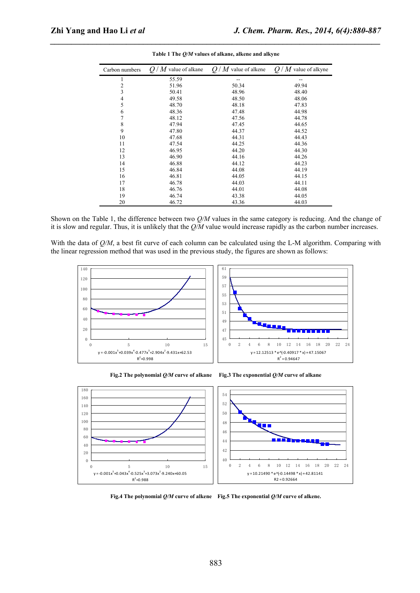| Carbon numbers | $'M$ value of alkane<br>Q/ | $Q/M$ value of alkene | $Q/M$ value of alkyne |
|----------------|----------------------------|-----------------------|-----------------------|
|                | 55.59                      | --                    | $-\!$                 |
| ◠              | 51.96                      | 50.34                 | 49.94                 |
| 3              | 50.41                      | 48.96                 | 48.40                 |
| 4              | 49.58                      | 48.50                 | 48.06                 |
|                | 48.70                      | 48.18                 | 47.83                 |
| 6              | 48.36                      | 47.48                 | 44.98                 |
|                | 48.12                      | 47.56                 | 44.78                 |
| 8              | 47.94                      | 47.45                 | 44.65                 |
| 9              | 47.80                      | 44.37                 | 44.52                 |
| 10             | 47.68                      | 44.31                 | 44.43                 |
| 11             | 47.54                      | 44.25                 | 44.36                 |
| 12             | 46.95                      | 44.20                 | 44.30                 |
| 13             | 46.90                      | 44.16                 | 44.26                 |
| 14             | 46.88                      | 44.12                 | 44.23                 |
| 15             | 46.84                      | 44.08                 | 44.19                 |
| 16             | 46.81                      | 44.05                 | 44.15                 |
| 17             | 46.78                      | 44.03                 | 44.11                 |
| 18             | 46.76                      | 44.01                 | 44.08                 |
| 19             | 46.74                      | 43.38                 | 44.05                 |
| 20             | 46.72                      | 43.36                 | 44.03                 |

*\_\_\_\_\_\_\_\_\_\_\_\_\_\_\_\_\_\_\_\_\_\_\_\_\_\_\_\_\_\_\_\_\_\_\_\_\_\_\_\_\_\_\_\_\_\_\_\_\_\_\_\_\_\_\_\_\_\_\_\_\_\_\_\_\_\_\_\_\_\_\_\_\_\_\_\_\_\_* **Table 1 The** *Q/M* **values of alkane, alkene and alkyne**

Shown on the Table 1, the difference between two *Q/M* values in the same category is reducing. And the change of it is slow and regular. Thus, it is unlikely that the *Q/M* value would increase rapidly as the carbon number increases.

With the data of *Q/M*, a best fit curve of each column can be calculated using the L-M algorithm. Comparing with the linear regression method that was used in the previous study, the figures are shown as follows:





**Fig.2 The polynomial** *Q/M* **curve of alkane Fig.3 The exponential** *Q/M* **curve of alkane**

**Fig.4 The polynomial** *Q/M* **curve of alkene Fig.5 The exponential** *Q/M* **curve of alkene.**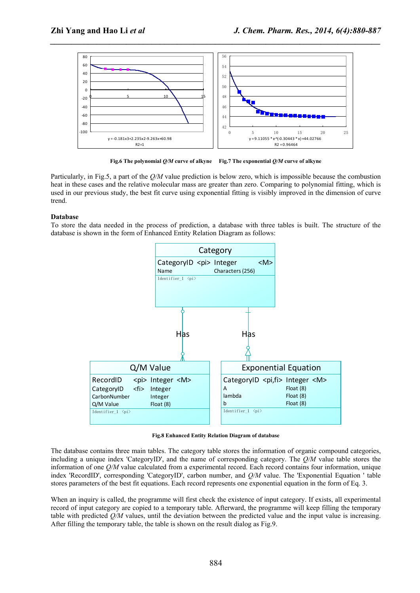

*\_\_\_\_\_\_\_\_\_\_\_\_\_\_\_\_\_\_\_\_\_\_\_\_\_\_\_\_\_\_\_\_\_\_\_\_\_\_\_\_\_\_\_\_\_\_\_\_\_\_\_\_\_\_\_\_\_\_\_\_\_\_\_\_\_\_\_\_\_\_\_\_\_\_\_\_\_\_*

**Fig.6 The polynomial** *Q/M* **curve of alkyne Fig.7 The exponential** *Q/M* **curve of alkyne**

Particularly, in Fig.5, a part of the *Q/M* value prediction is below zero, which is impossible because the combustion heat in these cases and the relative molecular mass are greater than zero. Comparing to polynomial fitting, which is used in our previous study, the best fit curve using exponential fitting is visibly improved in the dimension of curve trend.

## **Database**

To store the data needed in the process of prediction, a database with three tables is built. The structure of the database is shown in the form of Enhanced Entity Relation Diagram as follows:



**Fig.8 Enhanced Entity Relation Diagram of database**

The database contains three main tables. The category table stores the information of organic compound categories, including a unique index 'CategoryID', and the name of corresponding category. The *Q/M* value table stores the information of one *Q/M* value calculated from a experimental record. Each record contains four information, unique index 'RecordID', corresponding 'CategoryID', carbon number, and *Q/M* value. The 'Exponential Equation ' table stores parameters of the best fit equations. Each record represents one exponential equation in the form of Eq. 3.

When an inquiry is called, the programme will first check the existence of input category. If exists, all experimental record of input category are copied to a temporary table. Afterward, the programme will keep filling the temporary table with predicted *Q/M* values, until the deviation between the predicted value and the input value is increasing. After filling the temporary table, the table is shown on the result dialog as Fig.9.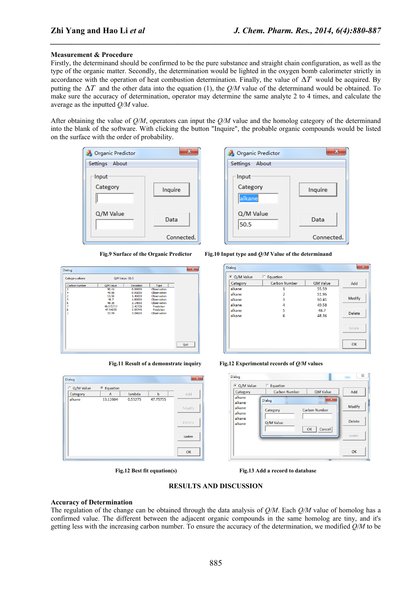#### **Measurement & Procedure**

Firstly, the determinand should be confirmed to be the pure substance and straight chain configuration, as well as the type of the organic matter. Secondly, the determination would be lighted in the oxygen bomb calorimeter strictly in accordance with the operation of heat combustion determination. Finally, the value of  $\Delta T$  would be acquired. By putting the  $\Delta T$  and the other data into the equation (1), the  $Q/M$  value of the determinand would be obtained. To make sure the accuracy of determination, operator may determine the same analyte 2 to 4 times, and calculate the average as the inputted *Q/M* value.

*\_\_\_\_\_\_\_\_\_\_\_\_\_\_\_\_\_\_\_\_\_\_\_\_\_\_\_\_\_\_\_\_\_\_\_\_\_\_\_\_\_\_\_\_\_\_\_\_\_\_\_\_\_\_\_\_\_\_\_\_\_\_\_\_\_\_\_\_\_\_\_\_\_\_\_\_\_\_*

After obtaining the value of *Q/M*, operators can input the *Q/M* value and the homolog category of the determinand into the blank of the software. With clicking the button "Inquire", the probable organic compounds would be listed on the surface with the order of probability.





**Fig.9 Surface of the Organic Predictor Fig.10 Input type and** *Q/M* **Value of the determinand**

| Dialog               |                 |           |             | ×    |
|----------------------|-----------------|-----------|-------------|------|
| Category:alkane      | O/M Value: 50.5 |           |             |      |
| <b>Carbon Number</b> | Q/M Value       | Deviation | Type        |      |
| 3                    | 50.41           | 0.09000   | Observation |      |
| 4                    | 49.58           | 0.92000   | Observation |      |
| 2                    | 51.96           | 1.46000   | Observation |      |
| 5                    | 48.7            | 1.80000   | Observation |      |
| 6                    | 48.36           | 2.14000   | Observation |      |
| 7                    | 48.072717       | 2.42728   | Prediction  |      |
| 8                    | 47.94255        | 2.55745   | Prediction  |      |
| 1                    | 55.59           | 5.09000   | Observation |      |
|                      |                 |           |             |      |
|                      |                 |           |             |      |
|                      |                 |           |             |      |
|                      |                 |           |             |      |
|                      |                 |           |             |      |
|                      |                 |           |             |      |
|                      |                 |           |             |      |
|                      |                 |           |             | Quit |
|                      |                 |           |             |      |

| Dialog      |                       |         |          | $\mathbf{x}$ |
|-------------|-----------------------|---------|----------|--------------|
| C Q/M Value | <sup>©</sup> Equation |         |          |              |
| Category    | A                     | lambda  | b        | Add          |
| alkane      | 13.12604              | 0.53275 | 47.75755 |              |
|             |                       |         |          | Modify       |
|             |                       |         |          | Delete       |
|             |                       |         |          | Update       |
|             |                       |         |          | OK           |

| Category | <b>Carbon Number</b>     | <b>QM Value</b> | Add           |
|----------|--------------------------|-----------------|---------------|
| alkane   | 1                        | 55.59           |               |
| alkane   | $\overline{\phantom{a}}$ | 51.96           |               |
| alkane   | 3                        | 50.41           | Modify        |
| alkane   | 4                        | 49.58           |               |
| alkane   | 5                        | 48.7            | <b>Delete</b> |
| alkane   | 6                        | 48.36           |               |
|          |                          |                 | Update        |
|          |                          |                 |               |

**Fig.11 Result of a demonstrate inquiry Fig.12 Experimental records of** *Q/M* **values**

| C Q/M Value      | C Equation           |                      |               |
|------------------|----------------------|----------------------|---------------|
| Category         | <b>Carbon Number</b> | <b>QM Value</b>      | Add           |
| alkane<br>alkane | Dialog               | $\mathbf{x}$         |               |
| alkane<br>alkane | Category             | <b>Carbon Number</b> | <b>Modify</b> |
| alkane           | Q/M Value            |                      | Delete        |
| alkane           |                      | Cancel<br>OK         |               |
|                  |                      |                      | Update        |
|                  |                      |                      |               |

**Fig.12 Best fit equation(s) Fig.13 Add a record to database**

### **RESULTS AND DISCUSSION**

#### **Accuracy of Determination**

The regulation of the change can be obtained through the data analysis of *Q/M*. Each *Q/M* value of homolog has a confirmed value. The different between the adjacent organic compounds in the same homolog are tiny, and it's getting less with the increasing carbon number. To ensure the accuracy of the determination, we modified *Q/M* to be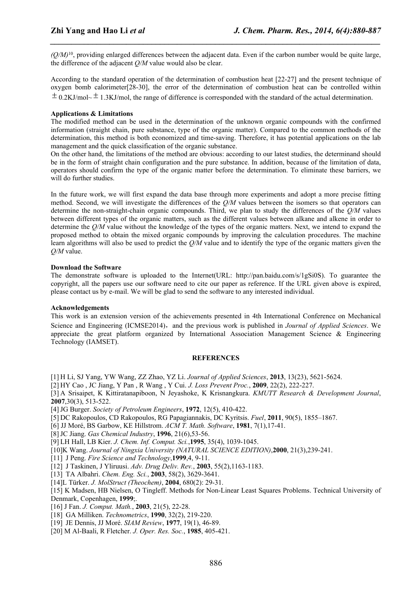$(Q/M)$ <sup>10</sup>, providing enlarged differences between the adjacent data. Even if the carbon number would be quite large, the difference of the adjacent *Q/M* value would also be clear.

*\_\_\_\_\_\_\_\_\_\_\_\_\_\_\_\_\_\_\_\_\_\_\_\_\_\_\_\_\_\_\_\_\_\_\_\_\_\_\_\_\_\_\_\_\_\_\_\_\_\_\_\_\_\_\_\_\_\_\_\_\_\_\_\_\_\_\_\_\_\_\_\_\_\_\_\_\_\_*

According to the standard operation of the determination of combustion heat [22-27] and the present technique of oxygen bomb calorimeter[28-30], the error of the determination of combustion heat can be controlled within  $\pm$  0.2KJ/mol~  $\pm$  1.3KJ/mol, the range of difference is corresponded with the standard of the actual determination.

### **Applications & Limitations**

The modified method can be used in the determination of the unknown organic compounds with the confirmed information (straight chain, pure substance, type of the organic matter). Compared to the common methods of the determination, this method is both economized and time-saving. Therefore, it has potential applications on the lab management and the quick classification of the organic substance.

On the other hand, the limitations of the method are obvious: according to our latest studies, the determinand should be in the form of straight chain configuration and the pure substance. In addition, because of the limitation of data, operators should confirm the type of the organic matter before the determination. To eliminate these barriers, we will do further studies.

In the future work, we will first expand the data base through more experiments and adopt a more precise fitting method. Second, we will investigate the differences of the *Q/M* values between the isomers so that operators can determine the non-straight-chain organic compounds. Third, we plan to study the differences of the *Q/M* values between different types of the organic matters, such as the different values between alkane and alkene in order to determine the *Q/M* value without the knowledge of the types of the organic matters. Next, we intend to expand the proposed method to obtain the mixed organic compounds by improving the calculation procedures. The machine learn algorithms will also be used to predict the *Q/M* value and to identify the type of the organic matters given the *Q/M* value.

## **Download the Software**

The demonstrate software is uploaded to the Internet(URL: http://pan.baidu.com/s/1gSi0S). To guarantee the copyright, all the papers use our software need to cite our paper as reference. If the URL given above is expired, please contact us by e-mail. We will be glad to send the software to any interested individual.

#### **Acknowledgements**

This work is an extension version of the achievements presented in 4th International Conference on Mechanical Science and Engineering (ICMSE2014), and the previous work is published in *Journal of Applied Sciences*. We appreciate the great platform organized by International Association Management Science & Engineering Technology (IAMSET).

### **REFERENCES**

[1] H Li, SJ Yang, YW Wang, ZZ Zhao, YZ Li. *Journal of Applied Sciences*, **2013**, 13(23), 5621-5624.

[2] HY Cao , JC Jiang, Y Pan , R Wang , Y Cui. *J. Loss Prevent Proc.*, **2009**, 22(2), 222-227.

[3] A Srisaipet, K Kittiratanapiboon, N Jeyashoke, K Krisnangkura. *KMUTT Research & Development Journal*, **2007**,30(3), 513-522.

[4]JG Burger. *Society of Petroleum Engineers*, **1972**, 12(5), 410-422.

- [5] DC Rakopoulos, CD Rakopoulos, RG Papagiannakis, DC Kyritsis. *[Fuel](http://www.sciencedirect.com/science/journal/00162361)*, **2011**, 90(5), 1855–1867.
- [6] JJ Moré, BS Garbow, KE Hillstrom. *ACM T. Math. Software*, **1981**, 7(1),17-41.
- [8]JC Jiang. *Gas Chemical Industry*, **1996**, 21(6),53-56.

[9] LH Hall, LB Kier. *J. Chem. Inf. Comput. Sci.*,**1995**, 35(4), 1039-1045.

- [10]K Wang. *Journal of Ningxia University (NATURAL SCIENCE EDITION)*,**2000**, 21(3),239-241.
- [11] J Peng. *Fire Science and Technology*,**1999**,4, 9-11.

[12] J Taskinen, J Yliruusi. *Adv. Drug Deliv. Rev.*, **2003**, 55(2),1163-1183.

- [13] TA Albahri. *Chem. Eng. Sci.*, **2003**, 58(2), 3629-3641.
- [14]L Türker. *J. MolStruct (Theochem)*, **2004**, 680(2): 29-31.
- [15] K Madsen, HB Nielsen, O Tingleff. Methods for Non-Linear Least Squares Problems. Technical University of Denmark, Copenhagen, **1999**;.
- [16] J Fan. *J. Comput. Math.*, **2003**, 21(5), 22-28.
- [18] GA Milliken. *Technometrics*, **1990**, 32(2), 219-220.
- [19] JE Dennis, JJ Moré. *SIAM Review*, **1977**, 19(1), 46-89.
- [20] M Al-Baali, R Fletcher. *J. Oper. Res. Soc.*, **1985**, 405-421.